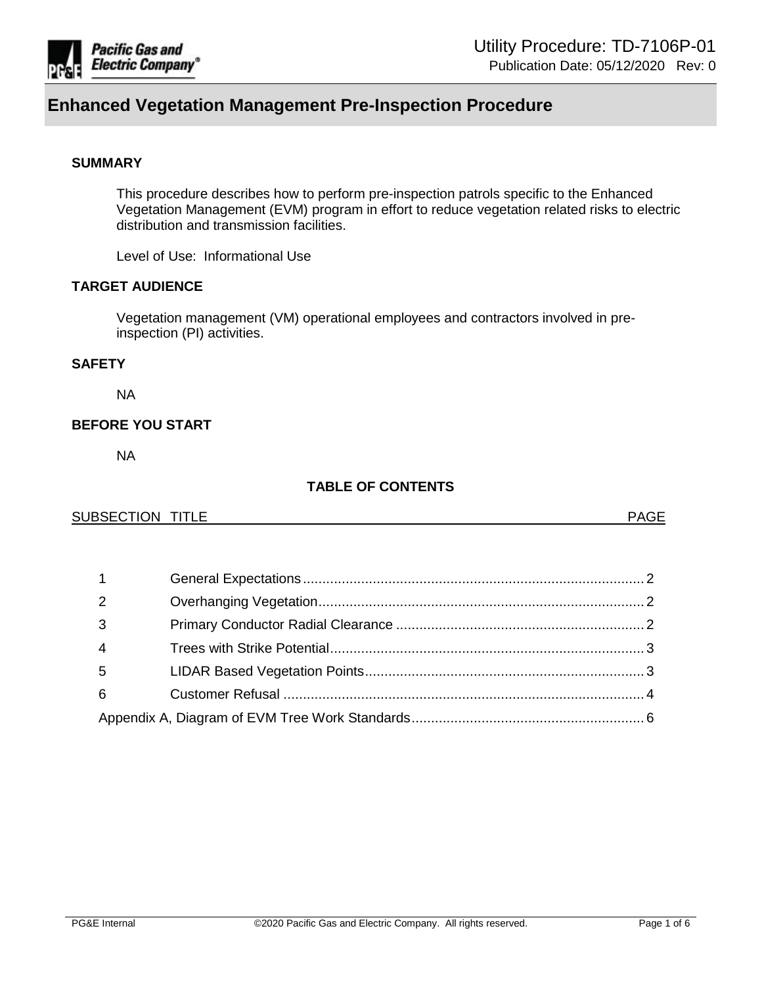

# **SUMMARY**

This procedure describes how to perform pre-inspection patrols specific to the Enhanced Vegetation Management (EVM) program in effort to reduce vegetation related risks to electric distribution and transmission facilities.

Level of Use: Informational Use

# **TARGET AUDIENCE**

Vegetation management (VM) operational employees and contractors involved in preinspection (PI) activities.

# **SAFETY**

NA

# **BEFORE YOU START**

NA

# **TABLE OF CONTENTS**

## SUBSECTION TITLE **All and the SUBSECTION TITLE**

| 2   |  |  |
|-----|--|--|
| -3  |  |  |
| -4  |  |  |
| - 5 |  |  |
| 6   |  |  |
|     |  |  |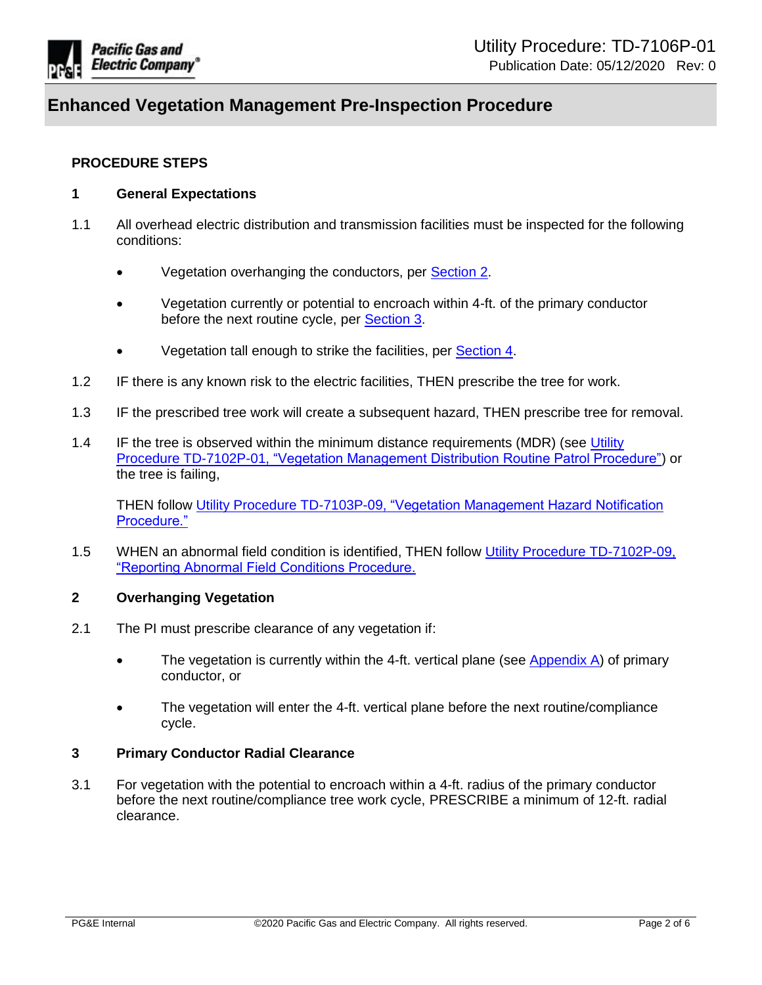

## **PROCEDURE STEPS**

## <span id="page-1-0"></span>**1 General Expectations**

- <span id="page-1-5"></span>1.1 All overhead electric distribution and transmission facilities must be inspected for the following conditions:
	- Vegetation overhanging the conductors, per [Section](#page-1-3) 2.
	- Vegetation currently or potential to encroach within 4-ft. of the primary conductor before the next routine cycle, per [Section 3.](#page-1-4)
	- Vegetation tall enough to strike the facilities, per [Section 4.](#page-2-2)
- 1.2 IF there is any known risk to the electric facilities, THEN prescribe the tree for work.
- 1.3 IF the prescribed tree work will create a subsequent hazard, THEN prescribe tree for removal.
- 1.4 IF the tree is observed within the minimum distance requirements (MDR) (see [Utility](https://ecmappwlsp01c2.comp.pge.com/TILVIEWER?chronicleId=09131aad81c3c5b2&vd=true&device=false)  [Procedure TD-7102P-01, "Vegetation Management Distribution Routine Patrol Procedure"\)](https://ecmappwlsp01c2.comp.pge.com/TILVIEWER?chronicleId=09131aad81c3c5b2&vd=true&device=false) or the tree is failing,

THEN follow [Utility Procedure TD-7103P-09, "Vegetation Management Hazard Notification](https://ecmappwlsp01c2.comp.pge.com/TILVIEWER?chronicleId=09131aad81c3ae32&vd=true&device=false)  [Procedure."](https://ecmappwlsp01c2.comp.pge.com/TILVIEWER?chronicleId=09131aad81c3ae32&vd=true&device=false)

1.5 WHEN an abnormal field condition is identified, THEN follow [Utility Procedure TD-7102P-09,](https://ecmappwlsp01c2.comp.pge.com/TILVIEWER?chronicleId=09131aad81c49238&vd=true&device=false)  ["Reporting Abnormal Field Conditions Procedure.](https://ecmappwlsp01c2.comp.pge.com/TILVIEWER?chronicleId=09131aad81c49238&vd=true&device=false)

## <span id="page-1-1"></span>**2 Overhanging Vegetation**

- <span id="page-1-3"></span>2.1 The PI must prescribe clearance of any vegetation if:
	- The vegetation is currently within the 4-ft. vertical plane (see [Appendix A\)](#page-5-0) of primary conductor, or
	- The vegetation will enter the 4-ft. vertical plane before the next routine/compliance cycle.

## <span id="page-1-2"></span>**3 Primary Conductor Radial Clearance**

<span id="page-1-4"></span>3.1 For vegetation with the potential to encroach within a 4-ft. radius of the primary conductor before the next routine/compliance tree work cycle, PRESCRIBE a minimum of 12-ft. radial clearance.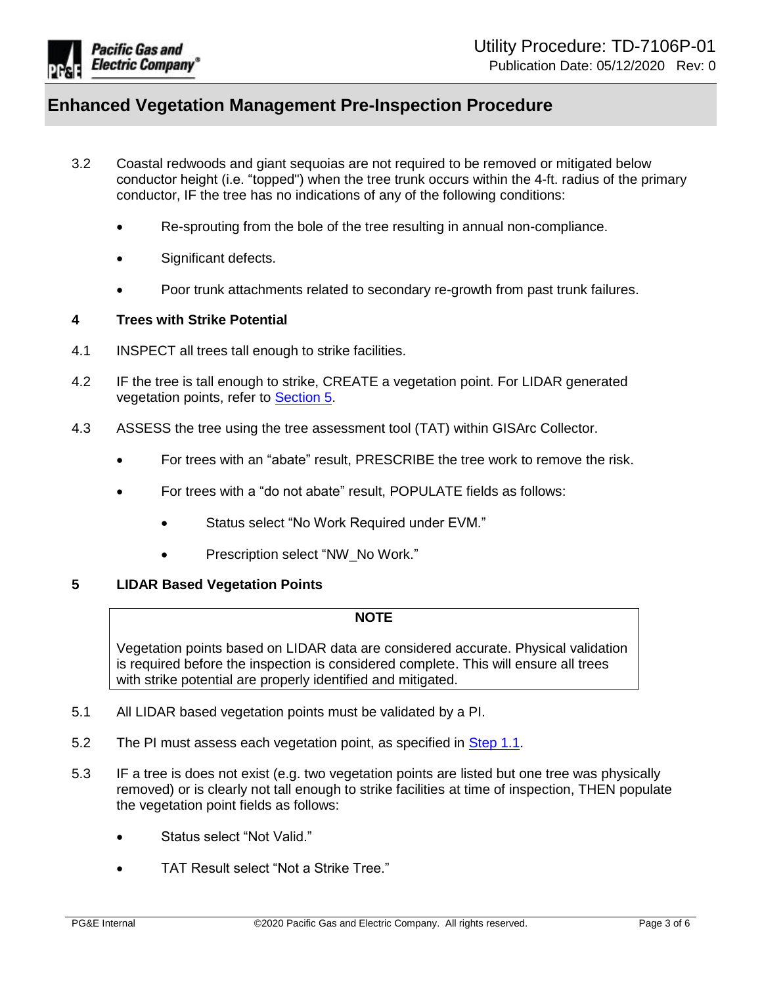

- 3.2 Coastal redwoods and giant sequoias are not required to be removed or mitigated below conductor height (i.e. "topped") when the tree trunk occurs within the 4-ft. radius of the primary conductor, IF the tree has no indications of any of the following conditions:
	- Re-sprouting from the bole of the tree resulting in annual non-compliance.
	- Significant defects.
	- Poor trunk attachments related to secondary re-growth from past trunk failures.

## <span id="page-2-0"></span>**4 Trees with Strike Potential**

- <span id="page-2-2"></span>4.1 INSPECT all trees tall enough to strike facilities.
- 4.2 IF the tree is tall enough to strike, CREATE a vegetation point. For LIDAR generated vegetation points, refer to [Section 5.](#page-2-3)
- 4.3 ASSESS the tree using the tree assessment tool (TAT) within GISArc Collector.
	- For trees with an "abate" result. PRESCRIBE the tree work to remove the risk.
	- For trees with a "do not abate" result, POPULATE fields as follows:
		- Status select "No Work Required under EVM."
		- Prescription select "NW\_No Work."

# <span id="page-2-1"></span>**5 LIDAR Based Vegetation Points**

#### **NOTE**

Vegetation points based on LIDAR data are considered accurate. Physical validation is required before the inspection is considered complete. This will ensure all trees with strike potential are properly identified and mitigated.

- <span id="page-2-3"></span>5.1 All LIDAR based vegetation points must be validated by a PI.
- 5.2 The PI must assess each vegetation point, as specified in [Step 1.1.](#page-1-5)
- 5.3 IF a tree is does not exist (e.g. two vegetation points are listed but one tree was physically removed) or is clearly not tall enough to strike facilities at time of inspection, THEN populate the vegetation point fields as follows:
	- Status select "Not Valid."
	- TAT Result select "Not a Strike Tree."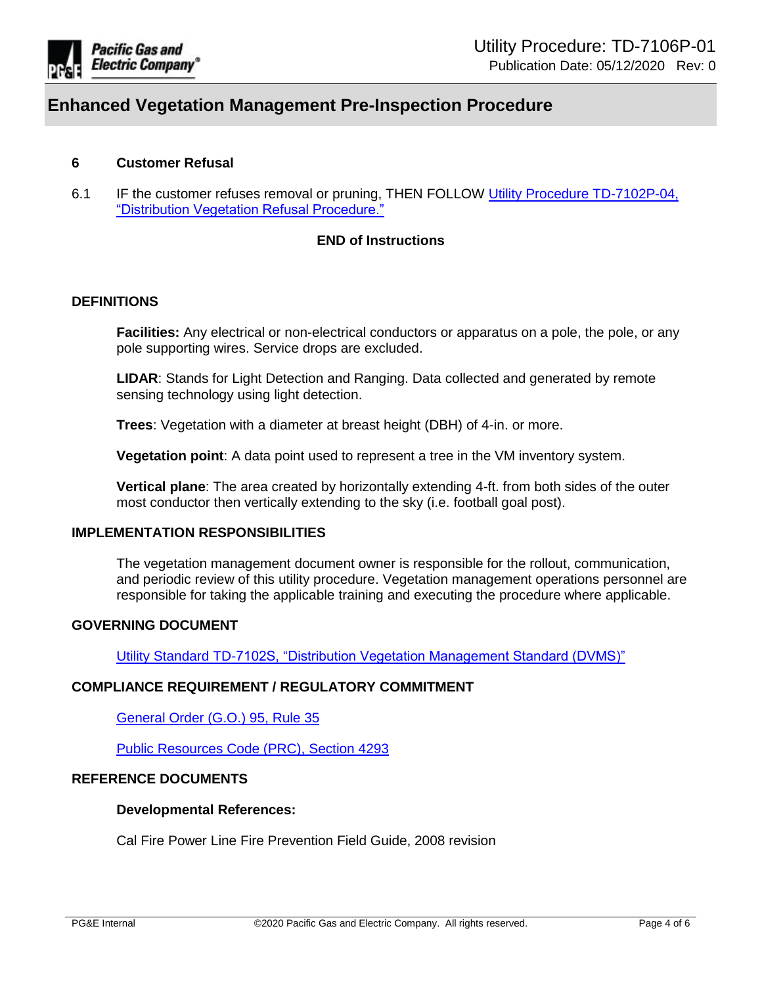

## <span id="page-3-0"></span>**6 Customer Refusal**

6.1 IF the customer refuses removal or pruning, THEN FOLLOW [Utility Procedure TD-7102P-04,](https://ecmappwlsp01c2.comp.pge.com/TILVIEWER?chronicleId=09131aad81c3ae39&vd=true&device=false)  ["Distribution Vegetation Refusal Procedure."](https://ecmappwlsp01c2.comp.pge.com/TILVIEWER?chronicleId=09131aad81c3ae39&vd=true&device=false)

## **END of Instructions**

#### **DEFINITIONS**

**Facilities:** Any electrical or non-electrical conductors or apparatus on a pole, the pole, or any pole supporting wires. Service drops are excluded.

**LIDAR**: Stands for Light Detection and Ranging. Data collected and generated by remote sensing technology using light detection.

**Trees**: Vegetation with a diameter at breast height (DBH) of 4-in. or more.

**Vegetation point**: A data point used to represent a tree in the VM inventory system.

**Vertical plane**: The area created by horizontally extending 4-ft. from both sides of the outer most conductor then vertically extending to the sky (i.e. football goal post).

#### **IMPLEMENTATION RESPONSIBILITIES**

The vegetation management document owner is responsible for the rollout, communication, and periodic review of this utility procedure. Vegetation management operations personnel are responsible for taking the applicable training and executing the procedure where applicable.

#### **GOVERNING DOCUMENT**

[Utility Standard TD-7102S, "Distribution Vegetation Management Standard \(DVMS\)"](https://ecmappwlsp01c2.comp.pge.com/TILVIEWER?chronicleId=09131aad81c3ae35&vd=true&device=false)

## **COMPLIANCE REQUIREMENT / REGULATORY COMMITMENT**

[General Order \(G.O.\) 95, Rule 35](http://docs.cpuc.ca.gov/PublishedDocs/Published/G000/M217/K418/217418779.pdf)

[Public Resources Code \(PRC\), Section 4293](http://leginfo.legislature.ca.gov/faces/codes_displaySection.xhtml?sectionNum=4292.&lawCode=PRC)

## **REFERENCE DOCUMENTS**

#### **Developmental References:**

Cal Fire Power Line Fire Prevention Field Guide, 2008 revision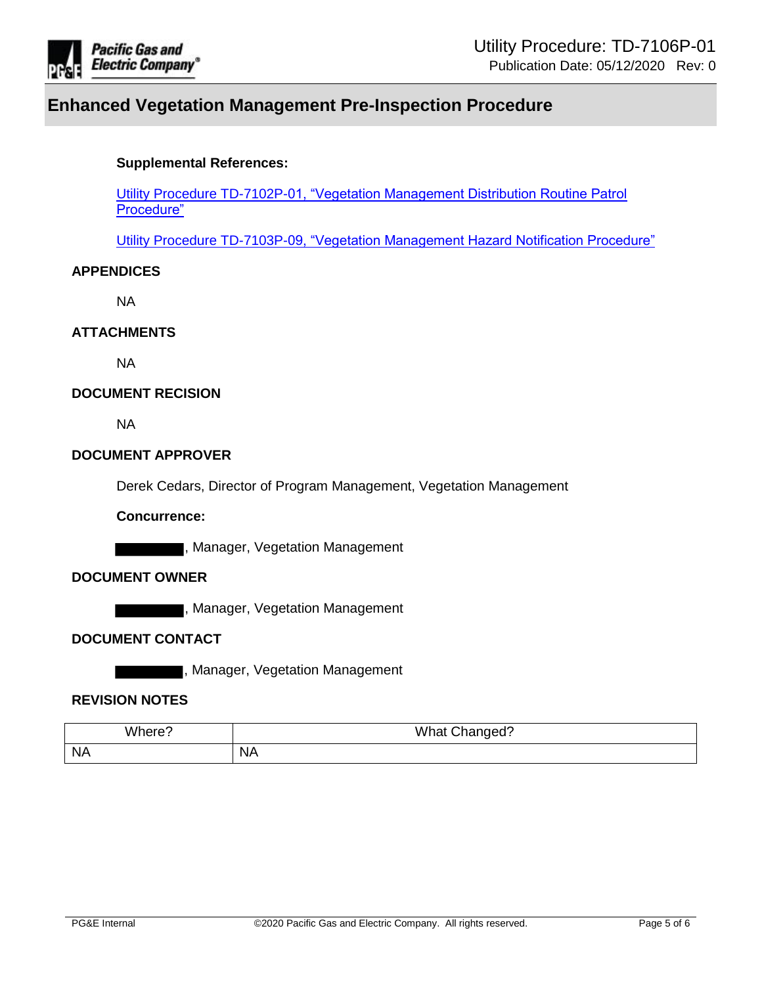

# **Supplemental References:**

[Utility Procedure TD-7102P-01, "Vegetation Management Distribution Routine Patrol](https://ecmappwlsp01c2.comp.pge.com/TILVIEWER?chronicleId=09131aad81c3c5b2&vd=true&device=false)  [Procedure"](https://ecmappwlsp01c2.comp.pge.com/TILVIEWER?chronicleId=09131aad81c3c5b2&vd=true&device=false)

[Utility Procedure TD-7103P-09, "Vegetation Management Hazard Notification Procedure"](https://ecmappwlsp01c2.comp.pge.com/TILVIEWER?chronicleId=09131aad81c3ae32&vd=true&device=false)

# **APPENDICES**

NA

# **ATTACHMENTS**

NA

## **DOCUMENT RECISION**

NA

## **DOCUMENT APPROVER**

Derek Cedars, Director of Program Management, Vegetation Management

#### **Concurrence:**

**The Fig. 3 Manager, Vegetation Management** 

# **DOCUMENT OWNER**

, Manager, Vegetation Management

## **DOCUMENT CONTACT**

, Manager, Vegetation Management

## **REVISION NOTES**

| ``'here'/ | <b>What Changed?</b> |
|-----------|----------------------|
| NA        | <b>NA</b>            |